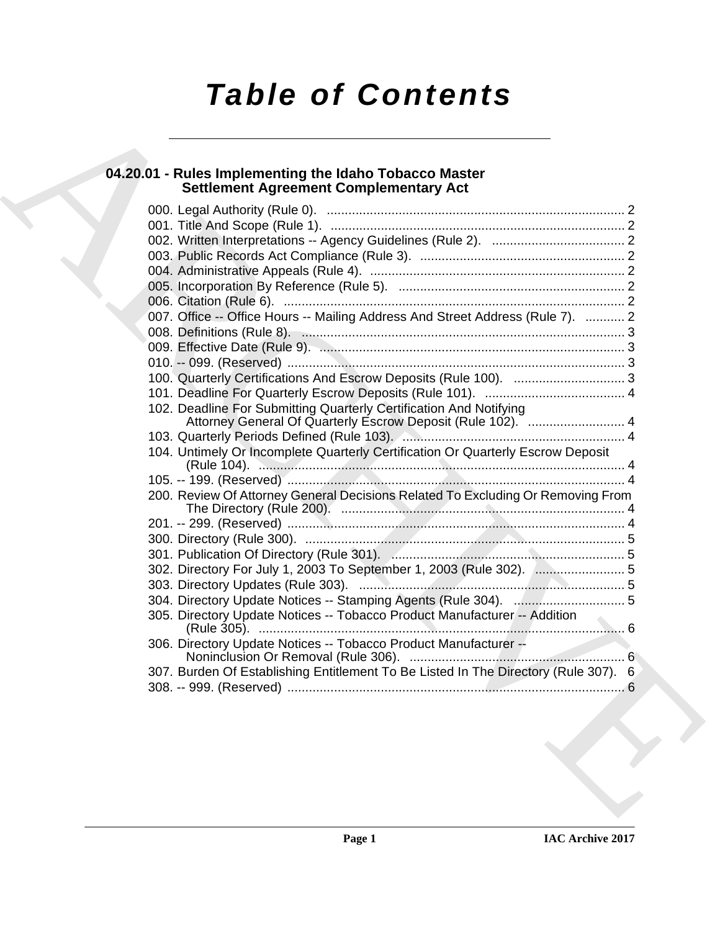# *Table of Contents*

### **04.20.01 - Rules Implementing the Idaho Tobacco Master Settlement Agreement Complementary Act**

| 007. Office -- Office Hours -- Mailing Address And Street Address (Rule 7).  2      |
|-------------------------------------------------------------------------------------|
|                                                                                     |
|                                                                                     |
|                                                                                     |
|                                                                                     |
|                                                                                     |
| 102. Deadline For Submitting Quarterly Certification And Notifying                  |
|                                                                                     |
| 104. Untimely Or Incomplete Quarterly Certification Or Quarterly Escrow Deposit     |
|                                                                                     |
| 200. Review Of Attorney General Decisions Related To Excluding Or Removing From     |
|                                                                                     |
|                                                                                     |
|                                                                                     |
|                                                                                     |
|                                                                                     |
|                                                                                     |
| 305. Directory Update Notices -- Tobacco Product Manufacturer -- Addition           |
| 306. Directory Update Notices -- Tobacco Product Manufacturer --                    |
| 307. Burden Of Establishing Entitlement To Be Listed In The Directory (Rule 307). 6 |
|                                                                                     |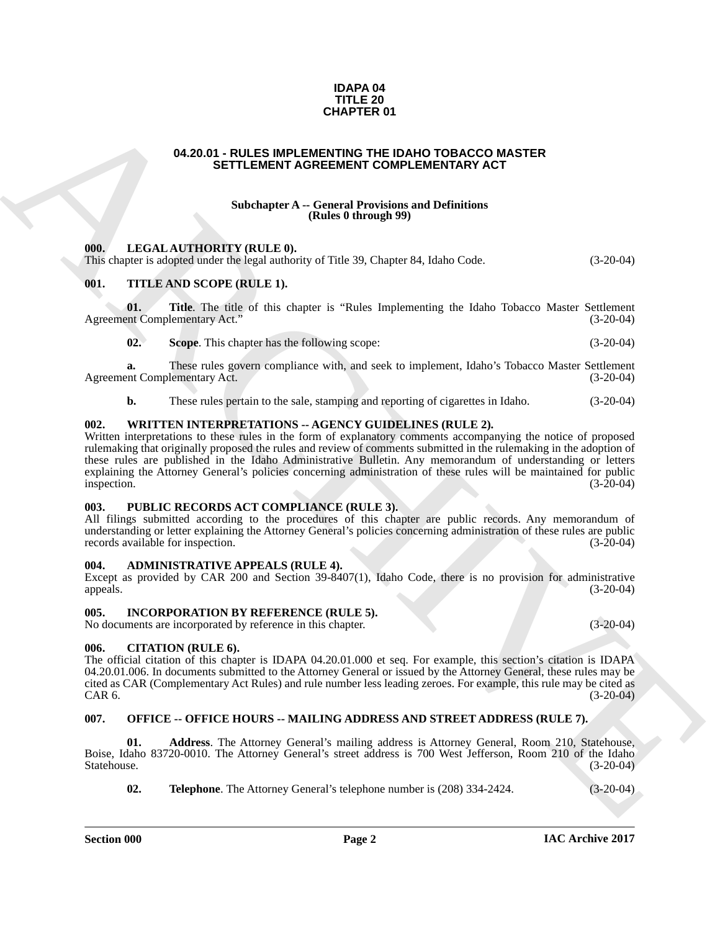#### **IDAPA 04 TITLE 20 CHAPTER 01**

#### <span id="page-1-0"></span>**04.20.01 - RULES IMPLEMENTING THE IDAHO TOBACCO MASTER SETTLEMENT AGREEMENT COMPLEMENTARY ACT**

#### **Subchapter A -- General Provisions and Definitions (Rules 0 through 99)**

#### <span id="page-1-1"></span>**000. LEGAL AUTHORITY (RULE 0).**

This chapter is adopted under the legal authority of Title 39, Chapter 84, Idaho Code. (3-20-04)

#### <span id="page-1-2"></span>**001. TITLE AND SCOPE (RULE 1).**

**01.** Title. The title of this chapter is "Rules Implementing the Idaho Tobacco Master Settlement ent Complementary Act." (3-20-04) Agreement Complementary Act."

**02. Scope**. This chapter has the following scope: (3-20-04)

**a.** These rules govern compliance with, and seek to implement, Idaho's Tobacco Master Settlement Agreement Complementary Act. (3-20-04)

**b.** These rules pertain to the sale, stamping and reporting of cigarettes in Idaho.  $(3-20-04)$ 

#### <span id="page-1-3"></span>**002. WRITTEN INTERPRETATIONS -- AGENCY GUIDELINES (RULE 2).**

**CHAPTER OT**<br> **CHAPTER ONE CHAPTER ONE CANNOT CONFORMATIVE ARCHIVE AND SETTLEMENT AGREEMENT COMPLEMENTARY ACT<br>
SUICH SHELL AUTHORITY (IICULE 0).<br>
THE CAN AUTHORITY (IICULE 0).<br>
THE CAN AUTHORITY (IICULE 0).<br>
THE CAN AUTHO** Written interpretations to these rules in the form of explanatory comments accompanying the notice of proposed rulemaking that originally proposed the rules and review of comments submitted in the rulemaking in the adoption of these rules are published in the Idaho Administrative Bulletin. Any memorandum of understanding or letters explaining the Attorney General's policies concerning administration of these rules will be maintained for public inspection. (3-20-04) inspection. (3-20-04)

#### <span id="page-1-4"></span>**003. PUBLIC RECORDS ACT COMPLIANCE (RULE 3).**

All filings submitted according to the procedures of this chapter are public records. Any memorandum of understanding or letter explaining the Attorney General's policies concerning administration of these rules are public records available for inspection.

#### <span id="page-1-5"></span>**004. ADMINISTRATIVE APPEALS (RULE 4).**

Except as provided by CAR 200 and Section 39-8407(1), Idaho Code, there is no provision for administrative appeals. (3-20-04)

#### <span id="page-1-6"></span>**005. INCORPORATION BY REFERENCE (RULE 5).**

No documents are incorporated by reference in this chapter. (3-20-04)

#### <span id="page-1-7"></span>**006. CITATION (RULE 6).**

The official citation of this chapter is IDAPA 04.20.01.000 et seq. For example, this section's citation is IDAPA 04.20.01.006. In documents submitted to the Attorney General or issued by the Attorney General, these rules may be cited as CAR (Complementary Act Rules) and rule number less leading zeroes. For example, this rule may be cited as  $CAR 6.$  (3-20-04)

#### <span id="page-1-8"></span>**007. OFFICE -- OFFICE HOURS -- MAILING ADDRESS AND STREET ADDRESS (RULE 7).**

**01. Address**. The Attorney General's mailing address is Attorney General, Room 210, Statehouse, Boise, Idaho 83720-0010. The Attorney General's street address is 700 West Jefferson, Room 210 of the Idaho Statehouse. (3-20-04)

**02. Telephone**. The Attorney General's telephone number is  $(208)$  334-2424. (3-20-04)

**Section 000 Page 2**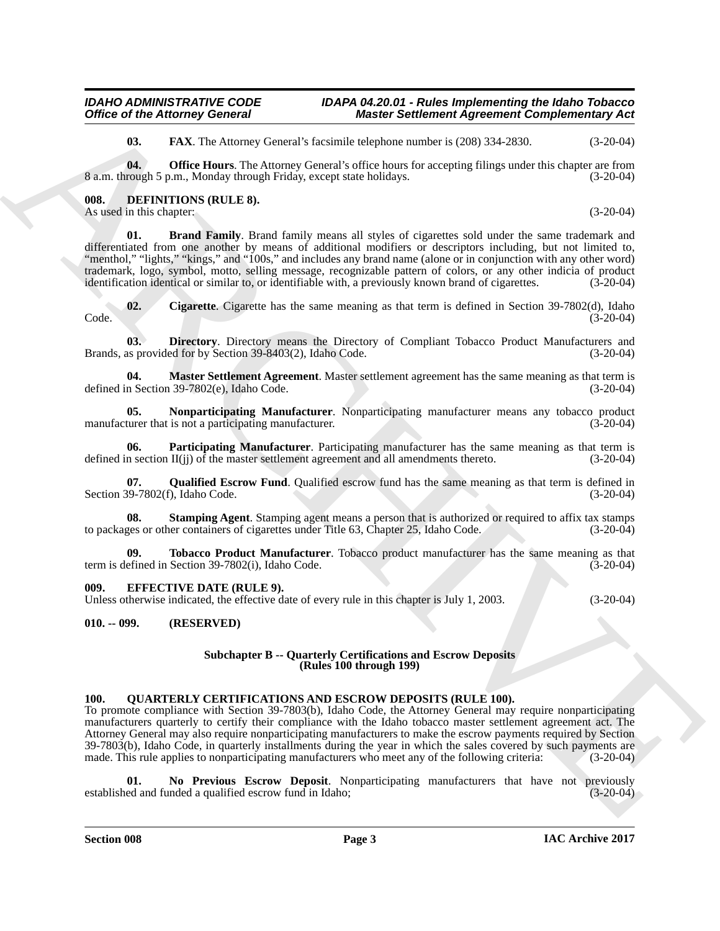#### **Section 008 Page 3**

#### **IAC Archive 2017**

#### *IDAHO ADMINISTRATIVE CODE IDAPA 04.20.01 - Rules Implementing the Idaho Tobacco Master Settlement Agreement Complementary Act*

**03. FAX**. The Attorney General's facsimile telephone number is (208) 334-2830. (3-20-04)

**04. Office Hours**. The Attorney General's office hours for accepting filings under this chapter are from 8 a.m. through 5 p.m., Monday through Friday, except state holidays. (3-20-04)

#### <span id="page-2-0"></span>**008. DEFINITIONS (RULE 8).**

As used in this chapter: (3-20-04)

<span id="page-2-4"></span>**01. Brand Family**. Brand family means all styles of cigarettes sold under the same trademark and differentiated from one another by means of additional modifiers or descriptors including, but not limited to, "menthol," "lights," "kings," and "100s," and includes any brand name (alone or in conjunction with any other word) trademark, logo, symbol, motto, selling message, recognizable pattern of colors, or any other indicia of product identification identical or similar to, or identifiable with, a previously known brand of cigarettes. (3-20-0 identification identical or similar to, or identifiable with, a previously known brand of cigarettes.

<span id="page-2-5"></span>**02.** Cigarette. Cigarette has the same meaning as that term is defined in Section 39-7802(d), Idaho (3-20-04) Code. (3-20-04)

<span id="page-2-6"></span>**03. Directory**. Directory means the Directory of Compliant Tobacco Product Manufacturers and Brands, as provided for by Section 39-8403(2), Idaho Code. (3-20-04)

<span id="page-2-7"></span>**04. Master Settlement Agreement**. Master settlement agreement has the same meaning as that term is n Section 39-7802(e), Idaho Code. (3-20-04) defined in Section  $39-7802(e)$ , Idaho Code.

<span id="page-2-8"></span>**05. Nonparticipating Manufacturer**. Nonparticipating manufacturer means any tobacco product manufacturer that is not a participating manufacturer. (3-20-04)

<span id="page-2-9"></span>**06.** Participating Manufacturer. Participating manufacturer has the same meaning as that term is n section II(ij) of the master settlement agreement and all amendments thereto. (3-20-04) defined in section  $II(ij)$  of the master settlement agreement and all amendments thereto.

<span id="page-2-10"></span>**07.** Qualified Escrow Fund. Qualified escrow fund has the same meaning as that term is defined in (3-20-04) (3-20-04) Section 39-7802(f), Idaho Code.

<span id="page-2-11"></span>**08. Stamping Agent**. Stamping agent means a person that is authorized or required to affix tax stamps to packages or other containers of cigarettes under Title 63, Chapter 25, Idaho Code. (3-20-04)

<span id="page-2-12"></span>**09. Tobacco Product Manufacturer**. Tobacco product manufacturer has the same meaning as that efined in Section 39-7802(i). Idaho Code. (3-20-04) term is defined in Section  $39-7802(i)$ , Idaho Code.

#### <span id="page-2-1"></span>**009. EFFECTIVE DATE (RULE 9).**

Unless otherwise indicated, the effective date of every rule in this chapter is July 1, 2003. (3-20-04)

#### <span id="page-2-2"></span>**010. -- 099. (RESERVED)**

#### **Subchapter B -- Quarterly Certifications and Escrow Deposits (Rules 100 through 199)**

#### <span id="page-2-3"></span>**100. QUARTERLY CERTIFICATIONS AND ESCROW DEPOSITS (RULE 100).**

Office of the Advance General Consells is since Settlement Agreement Complementary Act<br>
10. 1 KA. The Advance Universitytics consells the Monte of the S200 R (32-60)<br>
10. 1 KA. The Advance Universitytics consells the Mont To promote compliance with Section 39-7803(b), Idaho Code, the Attorney General may require nonparticipating manufacturers quarterly to certify their compliance with the Idaho tobacco master settlement agreement act. The Attorney General may also require nonparticipating manufacturers to make the escrow payments required by Section  $39-7803(b)$ , Idaho Code, in quarterly installments during the year in which the sales covered by such payments are made. This rule applies to nonparticipating manufacturers who meet any of the following criteria:  $(3-20-0$ made. This rule applies to nonparticipating manufacturers who meet any of the following criteria:

<span id="page-2-13"></span>**01.** No Previous Escrow Deposit. Nonparticipating manufacturers that have not previously ed and funded a qualified escrow fund in Idaho; (3-20-04) established and funded a qualified escrow fund in Idaho;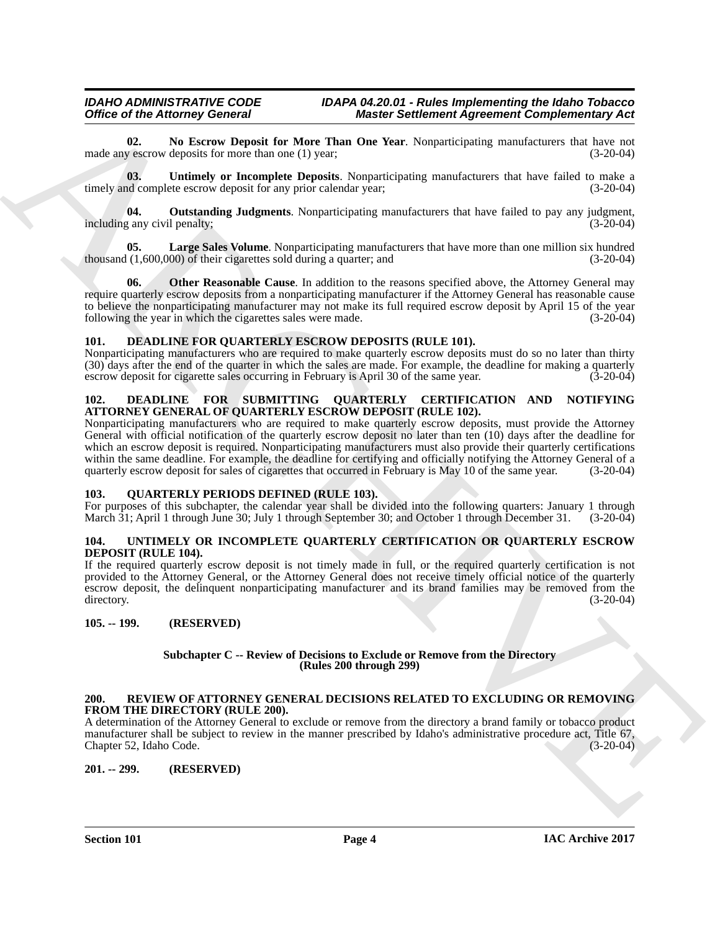#### *IDAHO ADMINISTRATIVE CODE IDAPA 04.20.01 - Rules Implementing the Idaho Tobacco Master Settlement Agreement Complementary Act*

<span id="page-3-10"></span>**02.** No Escrow Deposit for More Than One Year. Nonparticipating manufacturers that have not v escrow deposits for more than one (1) year: made any escrow deposits for more than one  $(1)$  year;

<span id="page-3-13"></span>**03. Untimely or Incomplete Deposits**. Nonparticipating manufacturers that have failed to make a timely and complete escrow deposit for any prior calendar year; (3-20-04)

<span id="page-3-12"></span>**04.** Outstanding Judgments. Nonparticipating manufacturers that have failed to pay any judgment, any civil penalty: (3-20-04) including any civil penalty;

<span id="page-3-9"></span>**05.** Large Sales Volume. Nonparticipating manufacturers that have more than one million six hundred (1,600,000) of their cigarettes sold during a quarter; and (3-20-04) thousand  $(1,600,000)$  of their cigarettes sold during a quarter; and

<span id="page-3-11"></span>**06.** Other Reasonable Cause. In addition to the reasons specified above, the Attorney General may require quarterly escrow deposits from a nonparticipating manufacturer if the Attorney General has reasonable cause to believe the nonparticipating manufacturer may not make its full required escrow deposit by April 15 of the year following the year in which the cigarettes sales were made. (3-20-04)

#### <span id="page-3-7"></span><span id="page-3-0"></span>**101. DEADLINE FOR QUARTERLY ESCROW DEPOSITS (RULE 101).**

Nonparticipating manufacturers who are required to make quarterly escrow deposits must do so no later than thirty (30) days after the end of the quarter in which the sales are made. For example, the deadline for making a quarterly escrow deposit for cigarette sales occurring in February is April 30 of the same year. (3-20-04) escrow deposit for cigarette sales occurring in February is April 30 of the same year.

#### <span id="page-3-8"></span><span id="page-3-1"></span>**102. DEADLINE FOR SUBMITTING QUARTERLY CERTIFICATION AND NOTIFYING ATTORNEY GENERAL OF QUARTERLY ESCROW DEPOSIT (RULE 102).**

Office of the Alternative Density Research Marcuso Completion of the state of the state of the state of the state of the state of the state of the state of the state of the state of the state of the state of the state of Nonparticipating manufacturers who are required to make quarterly escrow deposits, must provide the Attorney General with official notification of the quarterly escrow deposit no later than ten (10) days after the deadline for which an escrow deposit is required. Nonparticipating manufacturers must also provide their quarterly certifications within the same deadline. For example, the deadline for certifying and officially notifying the Attorney General of a quarterly escrow deposit for sales of cigarettes that occurred in February is May 10 of the same year. (3-20-04)

#### <span id="page-3-14"></span><span id="page-3-2"></span>**103. QUARTERLY PERIODS DEFINED (RULE 103).**

For purposes of this subchapter, the calendar year shall be divided into the following quarters: January 1 through March 31; April 1 through June 30; July 1 through September 30; and October 1 through December 31. (3-20-04)

#### <span id="page-3-16"></span><span id="page-3-3"></span>**104. UNTIMELY OR INCOMPLETE QUARTERLY CERTIFICATION OR QUARTERLY ESCROW DEPOSIT (RULE 104).**

If the required quarterly escrow deposit is not timely made in full, or the required quarterly certification is not provided to the Attorney General, or the Attorney General does not receive timely official notice of the quarterly escrow deposit, the delinquent nonparticipating manufacturer and its brand families may be removed from the directory. (3-20-04) directory. (3-20-04)

#### <span id="page-3-4"></span>**105. -- 199. (RESERVED)**

#### **Subchapter C -- Review of Decisions to Exclude or Remove from the Directory (Rules 200 through 299)**

#### <span id="page-3-15"></span><span id="page-3-5"></span>**200. REVIEW OF ATTORNEY GENERAL DECISIONS RELATED TO EXCLUDING OR REMOVING FROM THE DIRECTORY (RULE 200).**

A determination of the Attorney General to exclude or remove from the directory a brand family or tobacco product manufacturer shall be subject to review in the manner prescribed by Idaho's administrative procedure act, Title 67, Chapter 52, Idaho Code.

<span id="page-3-6"></span>**201. -- 299. (RESERVED)**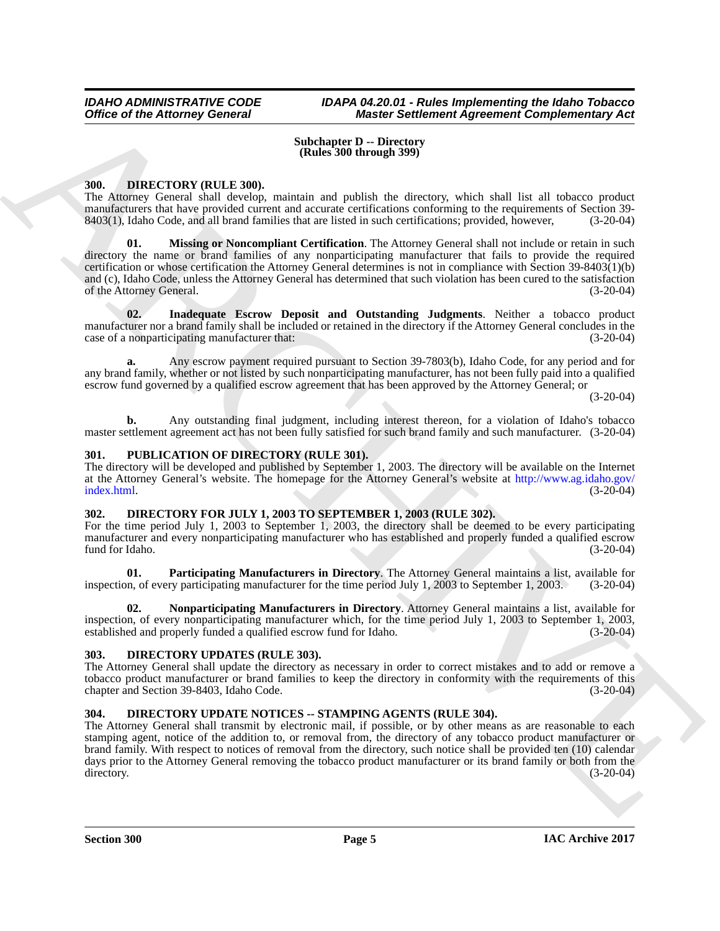#### **Subchapter D -- Directory (Rules 300 through 399)**

#### <span id="page-4-0"></span>**300. DIRECTORY (RULE 300).**

<span id="page-4-6"></span>The Attorney General shall develop, maintain and publish the directory, which shall list all tobacco product manufacturers that have provided current and accurate certifications conforming to the requirements of Section 39- 8403(1), Idaho Code, and all brand families that are listed in such certifications; provided, however, (3-20-04)

Office of the Attorney General<br>
Substant B. C. Considered Agreement Completionship Act<br>
Substant B. Substant B. C. Considered Agreement Completion Act<br>
Substant B. C. Considered Agreement Completion Act and the substantia **01. Missing or Noncompliant Certification**. The Attorney General shall not include or retain in such directory the name or brand families of any nonparticipating manufacturer that fails to provide the required certification or whose certification the Attorney General determines is not in compliance with Section 39-8403(1)(b) and (c), Idaho Code, unless the Attorney General has determined that such violation has been cured to the satisfaction of the Attorney General. (3-20-04)

<span id="page-4-5"></span>**02. Inadequate Escrow Deposit and Outstanding Judgments**. Neither a tobacco product manufacturer nor a brand family shall be included or retained in the directory if the Attorney General concludes in the case of a nonparticipating manufacturer that: (3-20-04)

**a.** Any escrow payment required pursuant to Section 39-7803(b), Idaho Code, for any period and for any brand family, whether or not listed by such nonparticipating manufacturer, has not been fully paid into a qualified escrow fund governed by a qualified escrow agreement that has been approved by the Attorney General; or

 $(3-20-04)$ 

**b.** Any outstanding final judgment, including interest thereon, for a violation of Idaho's tobacco master settlement agreement act has not been fully satisfied for such brand family and such manufacturer. (3-20-04)

#### <span id="page-4-11"></span><span id="page-4-1"></span>**301. PUBLICATION OF DIRECTORY (RULE 301).**

The directory will be developed and published by September 1, 2003. The directory will be available on the Internet at the Attorney General's website. The homepage for the Attorney General's website at http://www.ag.idaho.gov/ index.html. (3-20-04)

#### <span id="page-4-2"></span>**302. DIRECTORY FOR JULY 1, 2003 TO SEPTEMBER 1, 2003 (RULE 302).**

For the time period July 1, 2003 to September 1, 2003, the directory shall be deemed to be every participating manufacturer and every nonparticipating manufacturer who has established and properly funded a qualified escrow<br>(3-20-04) fund for Idaho.

<span id="page-4-8"></span>**01. Participating Manufacturers in Directory**. The Attorney General maintains a list, available for inspection, of every participating manufacturer for the time period July 1, 2003 to September 1, 2003. (3-20-04)

<span id="page-4-7"></span>**02. Nonparticipating Manufacturers in Directory**. Attorney General maintains a list, available for inspection, of every nonparticipating manufacturer which, for the time period July 1, 2003 to September 1, 2003, established and properly funded a qualified escrow fund for Idaho. (3-20-04)

#### <span id="page-4-10"></span><span id="page-4-3"></span>**303. DIRECTORY UPDATES (RULE 303).**

The Attorney General shall update the directory as necessary in order to correct mistakes and to add or remove a tobacco product manufacturer or brand families to keep the directory in conformity with the requirements of this chapter and Section 39-8403, Idaho Code. (3-20-04)

#### <span id="page-4-9"></span><span id="page-4-4"></span>**304. DIRECTORY UPDATE NOTICES -- STAMPING AGENTS (RULE 304).**

The Attorney General shall transmit by electronic mail, if possible, or by other means as are reasonable to each stamping agent, notice of the addition to, or removal from, the directory of any tobacco product manufacturer or brand family. With respect to notices of removal from the directory, such notice shall be provided ten (10) calendar days prior to the Attorney General removing the tobacco product manufacturer or its brand family or both from the directory. (3-20-04)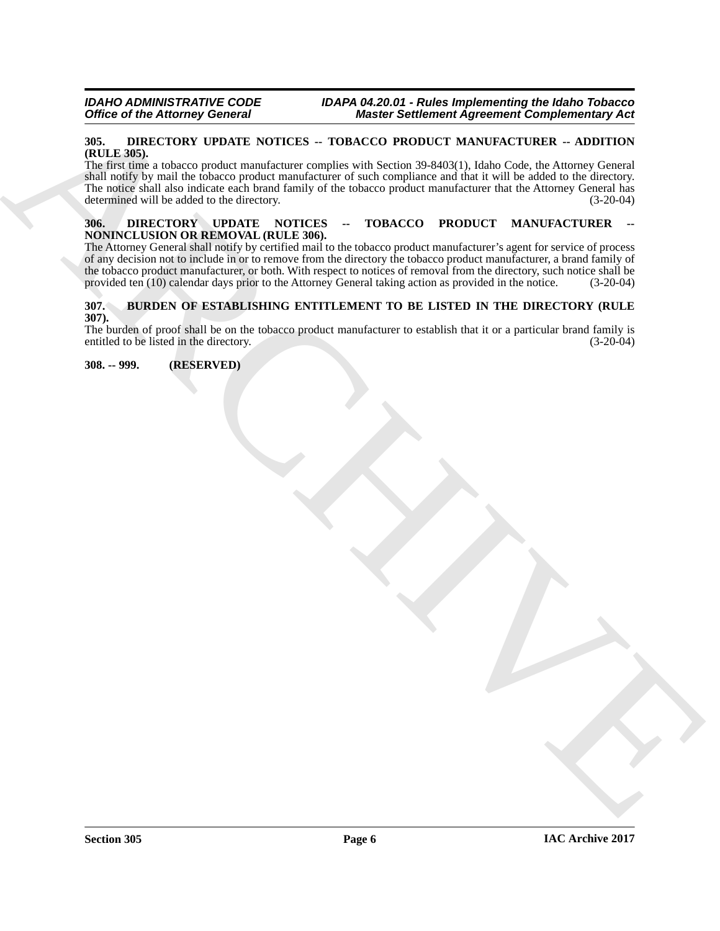#### <span id="page-5-5"></span><span id="page-5-0"></span>**305. DIRECTORY UPDATE NOTICES -- TOBACCO PRODUCT MANUFACTURER -- ADDITION (RULE 305).**

Office of the Altomay General Motivate - DVBACOV PRODUCTS Approximately Acts<br>
SET DREAD CONTROL WINDOWS - TURNS ON THE SET OF THE SET OF THE SET OF THE SET OF THE SET OF THE SET OF THE SET OF THE SET OF THE SET OF THE SET The first time a tobacco product manufacturer complies with Section 39-8403(1), Idaho Code, the Attorney General shall notify by mail the tobacco product manufacturer of such compliance and that it will be added to the directory. The notice shall also indicate each brand family of the tobacco product manufacturer that the Attorney General has determined will be added to the directory. (3-20-04)

#### <span id="page-5-6"></span><span id="page-5-1"></span>**306. DIRECTORY UPDATE NOTICES -- TOBACCO PRODUCT MANUFACTURER -- NONINCLUSION OR REMOVAL (RULE 306).**

The Attorney General shall notify by certified mail to the tobacco product manufacturer's agent for service of process of any decision not to include in or to remove from the directory the tobacco product manufacturer, a brand family of the tobacco product manufacturer, or both. With respect to notices of removal from the directory, such notice shall be provided ten (10) calendar days prior to the Attorney General taking action as provided in the notice. provided ten (10) calendar days prior to the Attorney General taking action as provided in the notice.

#### <span id="page-5-4"></span><span id="page-5-2"></span>**307. BURDEN OF ESTABLISHING ENTITLEMENT TO BE LISTED IN THE DIRECTORY (RULE 307).**

The burden of proof shall be on the tobacco product manufacturer to establish that it or a particular brand family is entitled to be listed in the directory. (3-20-04) entitled to be listed in the directory.

<span id="page-5-3"></span>**308. -- 999. (RESERVED)**